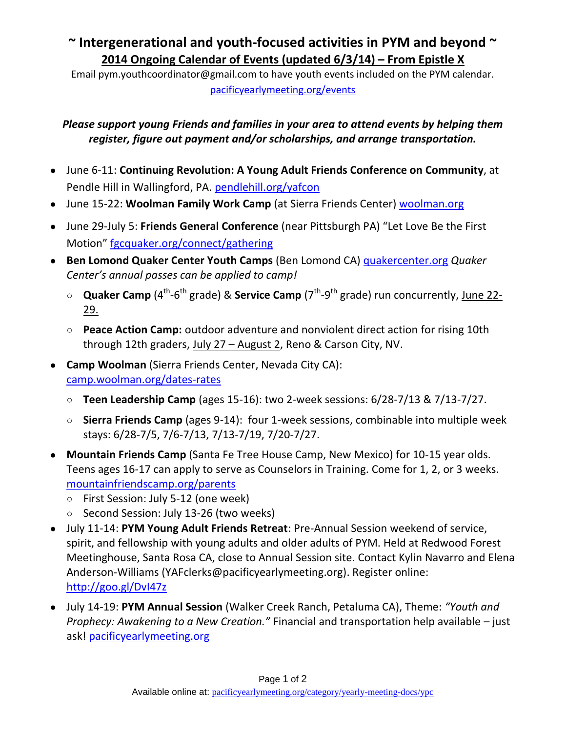## **~ Intergenerational and youth-focused activities in PYM and beyond ~ 2014 Ongoing Calendar of Events (updated 6/3/14) – From Epistle X**

Email pym.youthcoordinator@gmail.com to have youth events included on the PYM calendar. [pacificyearlymeeting.org/events](http://www.pacificyearlymeeting.org/events/)

## *Please support young Friends and families in your area to attend events by helping them register, figure out payment and/or scholarships, and arrange transportation.*

- June 6-11: **Continuing Revolution: A Young Adult Friends Conference on Community**, at Pendle Hill in Wallingford, PA. [pendlehill.org/yafcon](http://www.pendlehill.org/yafcon)
- June 15-22: **Woolman Family Work Camp** (at Sierra Friends Center) woolman.org
- June 29-July 5: **Friends General Conference** (near Pittsburgh PA) "Let Love Be the First Motion" [fgcquaker.org/connect/gathering](http://www.fgcquaker.org/connect/gathering)
- **Ben Lomond Quaker Center Youth Camps** (Ben Lomond CA) quakercenter.org *Quaker Center's annual passes can be applied to camp!*
	- **Quaker Camp** (4<sup>th</sup>-6<sup>th</sup> grade) & Service Camp (7<sup>th</sup>-9<sup>th</sup> grade) run concurrently, June 22-29.
	- **Peace Action Camp:** outdoor adventure and nonviolent direct action for rising 10th through 12th graders, July 27 - August 2, Reno & Carson City, NV.
- **Camp Woolman** (Sierra Friends Center, Nevada City CA): [camp.woolman.org/dates-rates](http://camp.woolman.org/dates-rates)
	- **Teen Leadership Camp** (ages 15-16): two 2-week sessions: 6/28-7/13 & 7/13-7/27.
	- **Sierra Friends Camp** (ages 9-14): four 1-week sessions, combinable into multiple week stays: 6/28-7/5, 7/6-7/13, 7/13-7/19, 7/20-7/27.
- **Mountain Friends Camp** (Santa Fe Tree House Camp, New Mexico) for 10-15 year olds. Teens ages 16-17 can apply to serve as Counselors in Training. Come for 1, 2, or 3 weeks. [mountainfriendscamp.org/parents](http://mountainfriendscamp.org/parents)
	- First Session: July 5-12 (one week)
	- Second Session: July 13-26 (two weeks)
- July 11-14: **PYM Young Adult Friends Retreat**: Pre-Annual Session weekend of service, spirit, and fellowship with young adults and older adults of PYM. Held at Redwood Forest Meetinghouse, Santa Rosa CA, close to Annual Session site. Contact Kylin Navarro and Elena Anderson-Williams (YAFclerks@pacificyearlymeeting.org). Register online: <http://goo.gl/DvI47z>
- July 14-19: **PYM Annual Session** (Walker Creek Ranch, Petaluma CA), Theme: *"Youth and Prophecy: Awakening to a New Creation."* Financial and transportation help available – just ask! pacificyearlymeeting.org